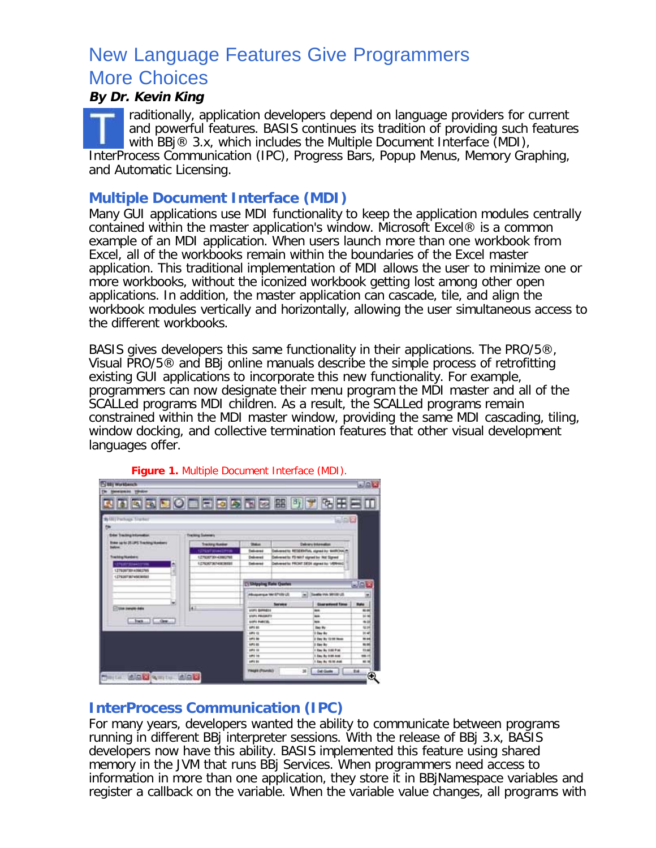# New Language Features Give Programmers

## More Choices **By Dr. Kevin King**

raditionally, application developers depend on language providers for current and powerful features. BASIS continues its tradition of providing such features with BBj® 3.x, which includes the Multiple Document Interface (MDI), InterProcess Communication (IPC), Progress Bars, Popup Menus, Memory Graphing, and Automatic Licensing.

### **Multiple Document Interface (MDI)**

Many GUI applications use MDI functionality to keep the application modules centrally contained within the master application's window. Microsoft Excel® is a common example of an MDI application. When users launch more than one workbook from Excel, all of the workbooks remain within the boundaries of the Excel master application. This traditional implementation of MDI allows the user to minimize one or more workbooks, without the iconized workbook getting lost among other open applications. In addition, the master application can cascade, tile, and align the workbook modules vertically and horizontally, allowing the user simultaneous access to the different workbooks.

BASIS gives developers this same functionality in their applications. The PRO/5®, Visual PRO/5® and BBj online manuals describe the simple process of retrofitting existing GUI applications to incorporate this new functionality. For example, programmers can now designate their menu program the MDI master and all of the SCALLed programs MDI children. As a result, the SCALLed programs remain constrained within the MDI master window, providing the same MDI cascading, tiling, window docking, and collective termination features that other visual development languages offer.

| <b>TV 881 Workbanch</b><br>нициан трион          |                          |                                  |                                            |                 |
|--------------------------------------------------|--------------------------|----------------------------------|--------------------------------------------|-----------------|
| <b>DESCOLESSES</b>                               |                          |                                  |                                            |                 |
| <b>GITTWARK Tracket</b>                          |                          |                                  | 山田区                                        |                 |
|                                                  |                          |                                  |                                            |                 |
| <b>Edar Tracking Information</b>                 | <b>Tracking Subscary</b> |                                  |                                            |                 |
| <b>Enter serie 25-JPS Tracting Numbers</b><br>سم | Tracking Humber          | <b>Shakup</b>                    | <b>Delivery Internation</b>                |                 |
|                                                  | 1276503044331m           | Sakared                          | Columnation RESERVING, signed by MARCHAYS  |                 |
| Tracking/Aprobates                               | 12YEAP30443860768        | <b>Delivered</b>                 | Delivered by FD NAT signed by Not Signed   |                 |
| <b>STURFSDIAKSTRA</b>                            | <b>LEFASOFSCASEMENT</b>  | Debuted                          | Delivered by PRONT DESN atpred by: VERHAUD |                 |
| 1.27920720142002765                              |                          |                                  |                                            |                 |
| 127520736745036503                               |                          |                                  |                                            |                 |
|                                                  |                          | <b>C: Shipping Rate Quarter</b>  |                                            | 男回道             |
|                                                  |                          | Alloquerque 184 SP109 US         | Seattle Inck Service Ltd.<br>w.            |                 |
|                                                  |                          | <b>Service</b>                   | <b>Class scale and Times</b>               | <b>Bala</b>     |
| <b>Class sweets date</b><br>but  11.  One        | lш                       | <b>USES GENERIA</b>              | -                                          | 16.06           |
|                                                  |                          | USES PAULAUFT                    | w                                          | to not          |
|                                                  |                          | <b><i>USES PARTIEL</i></b>       | <b>NH</b>                                  | 48.16           |
|                                                  |                          | <b>MPS 81</b>                    | <b>Has By</b>                              | 16.94           |
|                                                  |                          | <b>APR 13</b><br><b>LIFIE BE</b> | U Day My<br>It they by 12:50 News          | $m$ 46<br>10.94 |
|                                                  |                          | 693.81                           | I fax for                                  | <b>MA 840</b>   |
|                                                  |                          | <b>John 14</b>                   | 1 Ray No 146 Post                          | 11.66           |
|                                                  |                          | <b>UPI 14</b>                    | 1 Day No 9 00 Area                         | 49.15           |
|                                                  |                          | <b>SIPIE INE</b>                 | 1 Say Ay 10:30 AM                          | <b>ME 16</b>    |
|                                                  |                          |                                  |                                            |                 |

**Figure 1.** Multiple Document Interface (MDI).

## **InterProcess Communication (IPC)**

For many years, developers wanted the ability to communicate between programs running in different BBj interpreter sessions. With the release of BBj 3.x, BASIS developers now have this ability. BASIS implemented this feature using shared memory in the JVM that runs BBj Services. When programmers need access to information in more than one application, they store it in BBjNamespace variables and register a callback on the variable. When the variable value changes, all programs with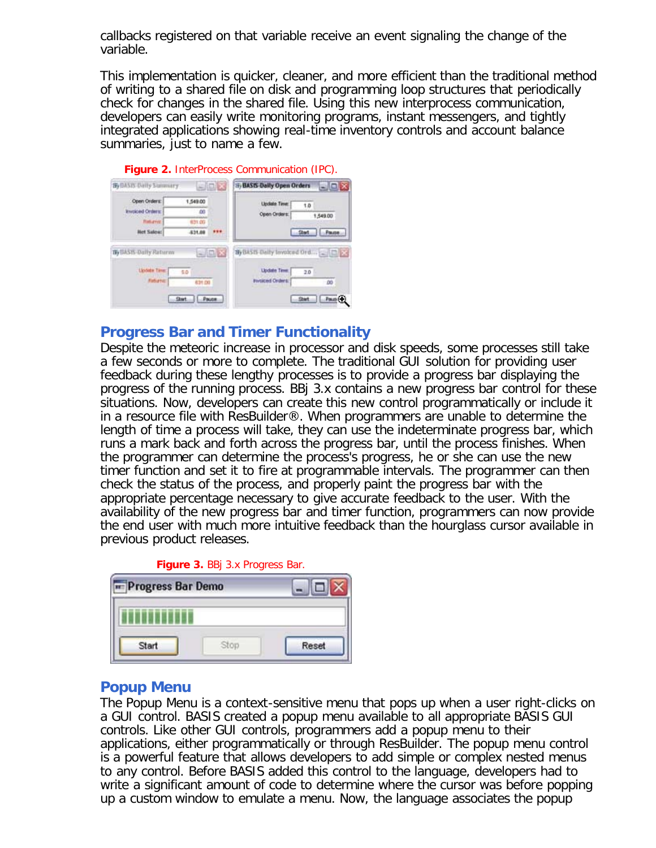callbacks registered on that variable receive an event signaling the change of the variable.

This implementation is quicker, cleaner, and more efficient than the traditional method of writing to a shared file on disk and programming loop structures that periodically check for changes in the shared file. Using this new interprocess communication, developers can easily write monitoring programs, instant messengers, and tightly integrated applications showing real-time inventory controls and account balance summaries, just to name a few.

| By BASIS Daily Summary                                                     |                      | □回文    | 15 BASIS Daily Open Orders<br>$ \Box$ $X$                                                        |
|----------------------------------------------------------------------------|----------------------|--------|--------------------------------------------------------------------------------------------------|
| Open Orders:                                                               | 1,549.00             |        | <b>Update Time:</b><br>1.0                                                                       |
| <b>Invoiced Orders:</b>                                                    | 40                   |        | Open Orders:<br>1,549.00                                                                         |
| <b>Refugnit</b>                                                            | 631.00               |        |                                                                                                  |
| <b>Het Sales:</b>                                                          | 831.00               |        | <b>LEMBELL</b><br>Start                                                                          |
| <b>By BASIS-Dally Raturny</b><br><b>Llodate Time:</b><br><b>Fisturist:</b> | 5.0<br><b>DO HOB</b> | $-108$ | By BASIS Daily foresced Ord _ D 24<br><b>Update Time</b><br>2.0<br><b>Hydiced Cedars:</b><br>DO. |

#### **Progress Bar and Timer Functionality**

Despite the meteoric increase in processor and disk speeds, some processes still take a few seconds or more to complete. The traditional GUI solution for providing user feedback during these lengthy processes is to provide a progress bar displaying the progress of the running process. BBj 3.x contains a new progress bar control for these situations. Now, developers can create this new control programmatically or include it in a resource file with ResBuilder®. When programmers are unable to determine the length of time a process will take, they can use the indeterminate progress bar, which runs a mark back and forth across the progress bar, until the process finishes. When the programmer can determine the process's progress, he or she can use the new timer function and set it to fire at programmable intervals. The programmer can then check the status of the process, and properly paint the progress bar with the appropriate percentage necessary to give accurate feedback to the user. With the availability of the new progress bar and timer function, programmers can now provide the end user with much more intuitive feedback than the hourglass cursor available in previous product releases.



#### **Popup Menu**

The Popup Menu is a context-sensitive menu that pops up when a user right-clicks on a GUI control. BASIS created a popup menu available to all appropriate BASIS GUI controls. Like other GUI controls, programmers add a popup menu to their applications, either programmatically or through ResBuilder. The popup menu control is a powerful feature that allows developers to add simple or complex nested menus to any control. Before BASIS added this control to the language, developers had to write a significant amount of code to determine where the cursor was before popping up a custom window to emulate a menu. Now, the language associates the popup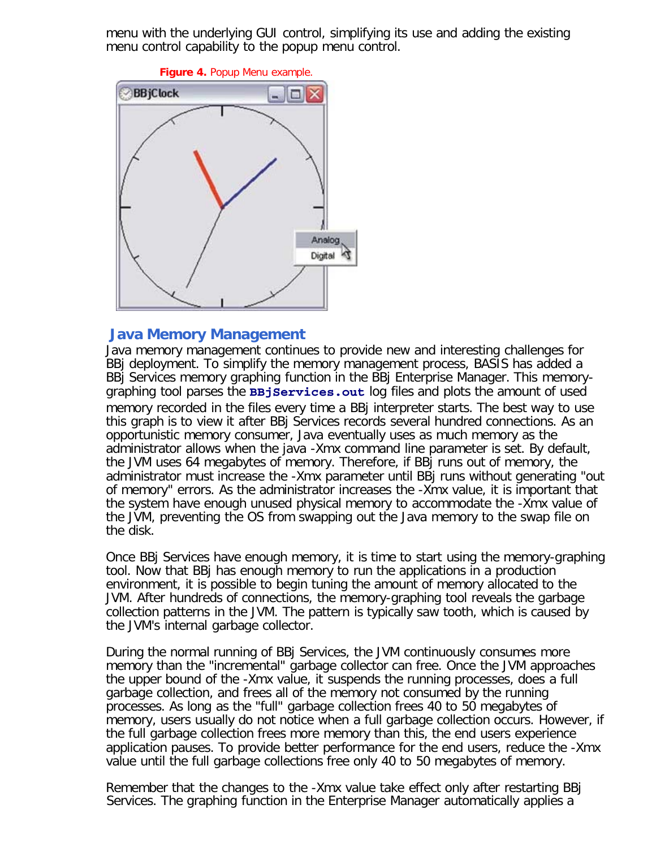menu with the underlying GUI control, simplifying its use and adding the existing menu control capability to the popup menu control.



#### **Java Memory Management**

Java memory management continues to provide new and interesting challenges for BBj deployment. To simplify the memory management process, BASIS has added a BBj Services memory graphing function in the BBj Enterprise Manager. This memorygraphing tool parses the **BBjServices.out** log files and plots the amount of used memory recorded in the files every time a BBj interpreter starts. The best way to use this graph is to view it after BBj Services records several hundred connections. As an opportunistic memory consumer, Java eventually uses as much memory as the administrator allows when the java -Xmx command line parameter is set. By default, the JVM uses 64 megabytes of memory. Therefore, if BBj runs out of memory, the administrator must increase the -Xmx parameter until BBj runs without generating "out of memory" errors. As the administrator increases the -Xmx value, it is important that the system have enough unused physical memory to accommodate the -Xmx value of the JVM, preventing the OS from swapping out the Java memory to the swap file on the disk.

Once BBj Services have enough memory, it is time to start using the memory-graphing tool. Now that BBj has enough memory to run the applications in a production environment, it is possible to begin tuning the amount of memory allocated to the JVM. After hundreds of connections, the memory-graphing tool reveals the garbage collection patterns in the JVM. The pattern is typically saw tooth, which is caused by the JVM's internal garbage collector.

During the normal running of BBj Services, the JVM continuously consumes more memory than the "incremental" garbage collector can free. Once the JVM approaches the upper bound of the -Xmx value, it suspends the running processes, does a full garbage collection, and frees all of the memory not consumed by the running processes. As long as the "full" garbage collection frees 40 to 50 megabytes of memory, users usually do not notice when a full garbage collection occurs. However, if the full garbage collection frees more memory than this, the end users experience application pauses. To provide better performance for the end users, reduce the -Xmx value until the full garbage collections free only 40 to 50 megabytes of memory.

Remember that the changes to the -Xmx value take effect only after restarting BBj Services. The graphing function in the Enterprise Manager automatically applies a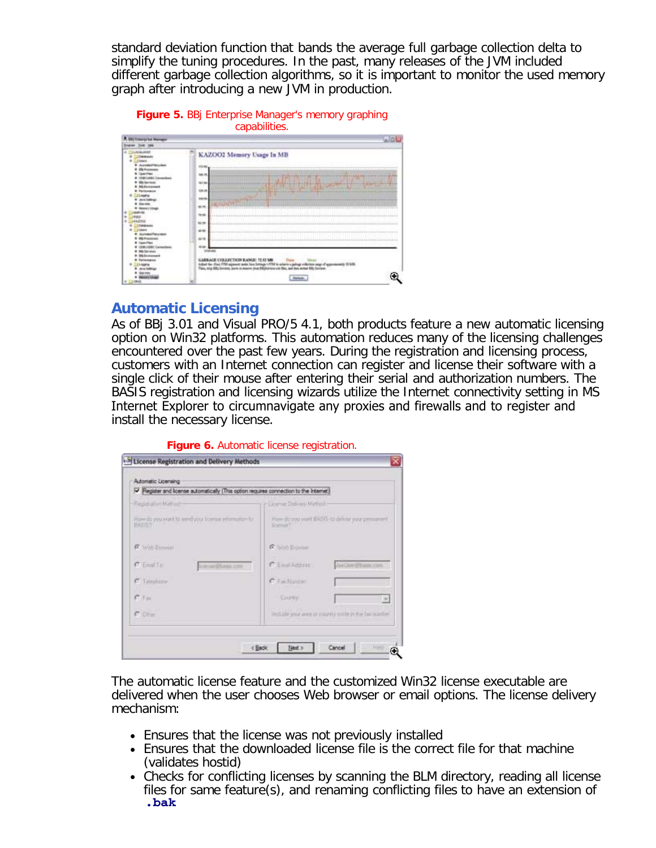standard deviation function that bands the average full garbage collection delta to simplify the tuning procedures. In the past, many releases of the JVM included different garbage collection algorithms, so it is important to monitor the used memory graph after introducing a new JVM in production.





## **Automatic Licensing**

As of BBj 3.01 and Visual PRO/5 4.1, both products feature a new automatic licensing option on Win32 platforms. This automation reduces many of the licensing challenges encountered over the past few years. During the registration and licensing process, customers with an Internet connection can register and license their software with a single click of their mouse after entering their serial and authorization numbers. The BASIS registration and licensing wizards utilize the Internet connectivity setting in MS Internet Explorer to circumnavigate any proxies and firewalls and to register and install the necessary license.

| Automatic Licensing<br>Pegister and license automatically (This option requires connection to the Internet) |                                                          |  |
|-------------------------------------------------------------------------------------------------------------|----------------------------------------------------------|--|
| Flegatiston Method                                                                                          | License Deliveru Method                                  |  |
| How do you won't to seed your license information to<br><b>RASSY</b>                                        | Hew do you yer! BASIS to delive your permanent<br>loman? |  |
| <b>C</b> . Web Biswin                                                                                       | G Web Element                                            |  |
| $C$ Emal To:<br>Histótam rom                                                                                | <b>C. Environment</b><br>better/Phancose                 |  |
| C Impiere                                                                                                   | C. Facturing                                             |  |
| $C$ For                                                                                                     | 1 County:<br>$\sim$                                      |  |
| C Oter                                                                                                      | Include you was or country code in the fax rapidle.      |  |

**Figure 6.** Automatic license registration.

The automatic license feature and the customized Win32 license executable are delivered when the user chooses Web browser or email options. The license delivery mechanism:

- Ensures that the license was not previously installed
- Ensures that the downloaded license file is the correct file for that machine (validates hostid)
- Checks for conflicting licenses by scanning the BLM directory, reading all license files for same feature(s), and renaming conflicting files to have an extension of **.bak**